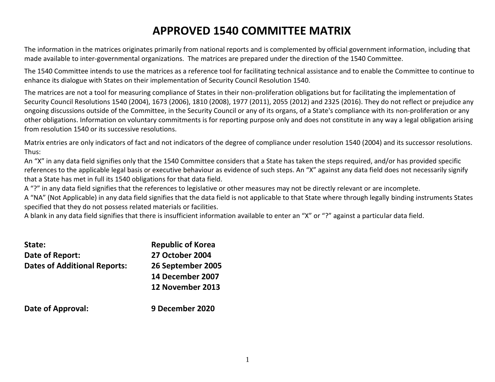## **APPROVED 1540 COMMITTEE MATRIX**

The information in the matrices originates primarily from national reports and is complemented by official government information, including that made available to inter-governmental organizations. The matrices are prepared under the direction of the 1540 Committee.

The 1540 Committee intends to use the matrices as a reference tool for facilitating technical assistance and to enable the Committee to continue to enhance its dialogue with States on their implementation of Security Council Resolution 1540.

The matrices are not a tool for measuring compliance of States in their non-proliferation obligations but for facilitating the implementation of Security Council Resolutions 1540 (2004), 1673 (2006), 1810 (2008), 1977 (2011), 2055 (2012) and 2325 (2016). They do not reflect or prejudice any ongoing discussions outside of the Committee, in the Security Council or any of its organs, of a State's compliance with its non-proliferation or any other obligations. Information on voluntary commitments is for reporting purpose only and does not constitute in any way a legal obligation arising from resolution 1540 or its successive resolutions.

Matrix entries are only indicators of fact and not indicators of the degree of compliance under resolution 1540 (2004) and its successor resolutions. Thus:

An "X" in any data field signifies only that the 1540 Committee considers that a State has taken the steps required, and/or has provided specific references to the applicable legal basis or executive behaviour as evidence of such steps. An "X" against any data field does not necessarily signify that a State has met in full its 1540 obligations for that data field.

A "?" in any data field signifies that the references to legislative or other measures may not be directly relevant or are incomplete.

A "NA" (Not Applicable) in any data field signifies that the data field is not applicable to that State where through legally binding instruments States specified that they do not possess related materials or facilities.

A blank in any data field signifies that there is insufficient information available to enter an "X" or "?" against a particular data field.

| State:                              | <b>Republic of Korea</b> |
|-------------------------------------|--------------------------|
| Date of Report:                     | <b>27 October 2004</b>   |
| <b>Dates of Additional Reports:</b> | 26 September 2005        |
|                                     | 14 December 2007         |
|                                     | 12 November 2013         |
| Date of Approval:                   | 9 December 2020          |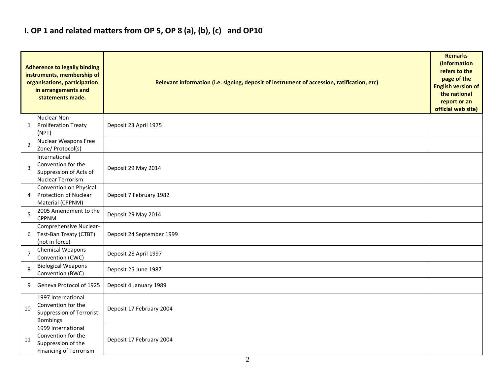### **I. OP 1 and related matters from OP 5, OP 8 (a), (b), (c) and OP10**

|                | <b>Adherence to legally binding</b><br>instruments, membership of<br>organisations, participation<br>in arrangements and<br>statements made. | Relevant information (i.e. signing, deposit of instrument of accession, ratification, etc) |  |  |  |  |  |  |  |  |
|----------------|----------------------------------------------------------------------------------------------------------------------------------------------|--------------------------------------------------------------------------------------------|--|--|--|--|--|--|--|--|
| 1              | Nuclear Non-<br><b>Proliferation Treaty</b><br>(NPT)                                                                                         | Deposit 23 April 1975                                                                      |  |  |  |  |  |  |  |  |
| 2              | Nuclear Weapons Free<br>Zone/ Protocol(s)                                                                                                    |                                                                                            |  |  |  |  |  |  |  |  |
| 3              | International<br>Convention for the<br>Suppression of Acts of<br>Nuclear Terrorism                                                           | Deposit 29 May 2014                                                                        |  |  |  |  |  |  |  |  |
| 4              | Convention on Physical<br>Protection of Nuclear<br>Material (CPPNM)                                                                          | Deposit 7 February 1982                                                                    |  |  |  |  |  |  |  |  |
| 5              | 2005 Amendment to the<br><b>CPPNM</b>                                                                                                        | Deposit 29 May 2014                                                                        |  |  |  |  |  |  |  |  |
| 6              | Comprehensive Nuclear-<br>Test-Ban Treaty (CTBT)<br>(not in force)                                                                           | Deposit 24 September 1999                                                                  |  |  |  |  |  |  |  |  |
| $\overline{7}$ | Chemical Weapons<br>Convention (CWC)                                                                                                         | Deposit 28 April 1997                                                                      |  |  |  |  |  |  |  |  |
| 8              | <b>Biological Weapons</b><br>Convention (BWC)                                                                                                | Deposit 25 June 1987                                                                       |  |  |  |  |  |  |  |  |
| 9              | Geneva Protocol of 1925                                                                                                                      | Deposit 4 January 1989                                                                     |  |  |  |  |  |  |  |  |
| 10             | 1997 International<br>Convention for the<br>Suppression of Terrorist<br><b>Bombings</b>                                                      | Deposit 17 February 2004                                                                   |  |  |  |  |  |  |  |  |
| 11             | 1999 International<br>Convention for the<br>Suppression of the<br><b>Financing of Terrorism</b>                                              | Deposit 17 February 2004                                                                   |  |  |  |  |  |  |  |  |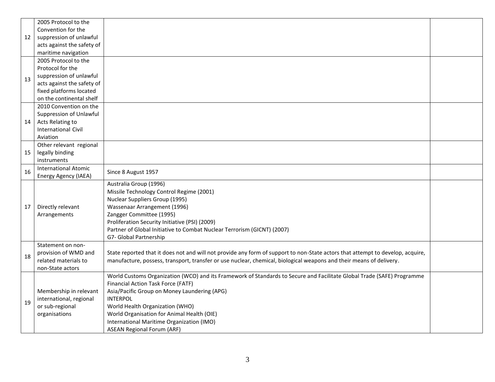|    | 2005 Protocol to the        |                                                                                                                                |  |
|----|-----------------------------|--------------------------------------------------------------------------------------------------------------------------------|--|
|    | Convention for the          |                                                                                                                                |  |
| 12 | suppression of unlawful     |                                                                                                                                |  |
|    | acts against the safety of  |                                                                                                                                |  |
|    | maritime navigation         |                                                                                                                                |  |
|    | 2005 Protocol to the        |                                                                                                                                |  |
|    | Protocol for the            |                                                                                                                                |  |
| 13 | suppression of unlawful     |                                                                                                                                |  |
|    | acts against the safety of  |                                                                                                                                |  |
|    | fixed platforms located     |                                                                                                                                |  |
|    | on the continental shelf    |                                                                                                                                |  |
|    | 2010 Convention on the      |                                                                                                                                |  |
|    | Suppression of Unlawful     |                                                                                                                                |  |
| 14 | Acts Relating to            |                                                                                                                                |  |
|    | <b>International Civil</b>  |                                                                                                                                |  |
|    | Aviation                    |                                                                                                                                |  |
|    | Other relevant regional     |                                                                                                                                |  |
| 15 | legally binding             |                                                                                                                                |  |
|    | instruments                 |                                                                                                                                |  |
| 16 | <b>International Atomic</b> | Since 8 August 1957                                                                                                            |  |
|    | Energy Agency (IAEA)        |                                                                                                                                |  |
|    |                             | Australia Group (1996)                                                                                                         |  |
|    |                             | Missile Technology Control Regime (2001)                                                                                       |  |
|    |                             | Nuclear Suppliers Group (1995)                                                                                                 |  |
| 17 | Directly relevant           | Wassenaar Arrangement (1996)                                                                                                   |  |
|    | Arrangements                | Zangger Committee (1995)                                                                                                       |  |
|    |                             | Proliferation Security Initiative (PSI) (2009)                                                                                 |  |
|    |                             | Partner of Global Initiative to Combat Nuclear Terrorism (GICNT) (2007)                                                        |  |
|    |                             | G7- Global Partnership                                                                                                         |  |
|    | Statement on non-           |                                                                                                                                |  |
| 18 | provision of WMD and        | State reported that it does not and will not provide any form of support to non-State actors that attempt to develop, acquire, |  |
|    | related materials to        | manufacture, possess, transport, transfer or use nuclear, chemical, biological weapons and their means of delivery.            |  |
|    | non-State actors            |                                                                                                                                |  |
|    |                             | World Customs Organization (WCO) and its Framework of Standards to Secure and Facilitate Global Trade (SAFE) Programme         |  |
|    |                             | Financial Action Task Force (FATF)                                                                                             |  |
|    | Membership in relevant      | Asia/Pacific Group on Money Laundering (APG)<br><b>INTERPOL</b>                                                                |  |
| 19 | international, regional     |                                                                                                                                |  |
|    | or sub-regional             | World Health Organization (WHO)                                                                                                |  |
|    | organisations               | World Organisation for Animal Health (OIE)                                                                                     |  |
|    |                             | International Maritime Organization (IMO)                                                                                      |  |
|    |                             | <b>ASEAN Regional Forum (ARF)</b>                                                                                              |  |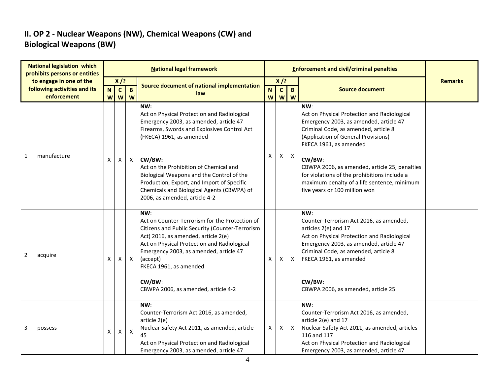#### **II. OP 2 - Nuclear Weapons (NW), Chemical Weapons (CW) and Biological Weapons (BW)**

|              | <b>National legislation which</b><br>prohibits persons or entities |                  | <b>National legal framework</b> |                   |                                                                                                                                                                                                                                                                                                                                                                                                       |                                        |   |                  | <b>Enforcement and civil/criminal penalties</b>                                                                                                                                                                                                                                                                                                                                                  |                |  |  |  |
|--------------|--------------------------------------------------------------------|------------------|---------------------------------|-------------------|-------------------------------------------------------------------------------------------------------------------------------------------------------------------------------------------------------------------------------------------------------------------------------------------------------------------------------------------------------------------------------------------------------|----------------------------------------|---|------------------|--------------------------------------------------------------------------------------------------------------------------------------------------------------------------------------------------------------------------------------------------------------------------------------------------------------------------------------------------------------------------------------------------|----------------|--|--|--|
|              | to engage in one of the<br>following activities and its            |                  | $X$ /?                          |                   | Source document of national implementation                                                                                                                                                                                                                                                                                                                                                            | $X$ /?<br>$\mathbf{C}$<br>$\mathbf{B}$ |   |                  | <b>Source document</b>                                                                                                                                                                                                                                                                                                                                                                           | <b>Remarks</b> |  |  |  |
|              | enforcement                                                        | $\mathbf N$<br>W | $\mathbf{C}$<br>W               | $\mathbf{B}$<br>W | law                                                                                                                                                                                                                                                                                                                                                                                                   | N<br>W                                 |   | <b>W</b> W       |                                                                                                                                                                                                                                                                                                                                                                                                  |                |  |  |  |
| $\mathbf{1}$ | manufacture                                                        | X                | X                               | $\mathsf{X}$      | NW:<br>Act on Physical Protection and Radiological<br>Emergency 2003, as amended, article 47<br>Firearms, Swords and Explosives Control Act<br>(FKECA) 1961, as amended<br>CW/BW:<br>Act on the Prohibition of Chemical and<br>Biological Weapons and the Control of the<br>Production, Export, and Import of Specific<br>Chemicals and Biological Agents (CBWPA) of<br>2006, as amended, article 4-2 | x                                      | X | $\boldsymbol{X}$ | NW:<br>Act on Physical Protection and Radiological<br>Emergency 2003, as amended, article 47<br>Criminal Code, as amended, article 8<br>(Application of General Provisions)<br>FKECA 1961, as amended<br>CW/BW:<br>CBWPA 2006, as amended, article 25, penalties<br>for violations of the prohibitions include a<br>maximum penalty of a life sentence, minimum<br>five years or 100 million won |                |  |  |  |
| 2            | acquire                                                            | X                | Χ                               | $\mathsf{X}$      | NW:<br>Act on Counter-Terrorism for the Protection of<br>Citizens and Public Security (Counter-Terrorism<br>Act) 2016, as amended, article 2(e)<br>Act on Physical Protection and Radiological<br>Emergency 2003, as amended, article 47<br>(accept)<br>FKECA 1961, as amended<br>CW/BW:<br>CBWPA 2006, as amended, article 4-2                                                                       | X                                      | x | $\mathsf{X}$     | NW:<br>Counter-Terrorism Act 2016, as amended,<br>articles 2(e) and 17<br>Act on Physical Protection and Radiological<br>Emergency 2003, as amended, article 47<br>Criminal Code, as amended, article 8<br>FKECA 1961, as amended<br>CW/BW:<br>CBWPA 2006, as amended, article 25                                                                                                                |                |  |  |  |
| 3            | possess                                                            | X                | X                               | $\boldsymbol{X}$  | NW:<br>Counter-Terrorism Act 2016, as amended,<br>article 2(e)<br>Nuclear Safety Act 2011, as amended, article<br>45<br>Act on Physical Protection and Radiological<br>Emergency 2003, as amended, article 47                                                                                                                                                                                         | X                                      | X | $\mathsf{X}$     | NW:<br>Counter-Terrorism Act 2016, as amended,<br>article 2(e) and 17<br>Nuclear Safety Act 2011, as amended, articles<br>116 and 117<br>Act on Physical Protection and Radiological<br>Emergency 2003, as amended, article 47                                                                                                                                                                   |                |  |  |  |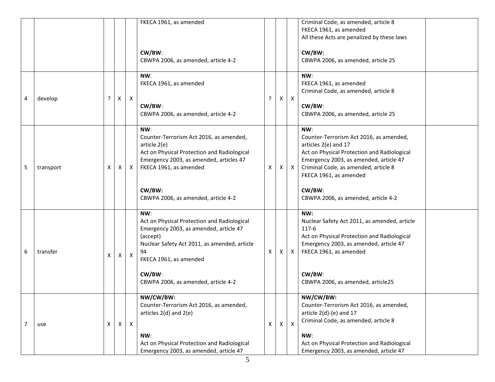|                |           |   |   |                           | FKECA 1961, as amended<br>CW/BW:<br>CBWPA 2006, as amended, article 4-2                                                                                                                                                                   |   |   |                           | Criminal Code, as amended, article 8<br>FKECA 1961, as amended<br>All these Acts are penalized by these laws<br>CW/BW:<br>CBWPA 2006, as amended, article 25                                                                                                                       |
|----------------|-----------|---|---|---------------------------|-------------------------------------------------------------------------------------------------------------------------------------------------------------------------------------------------------------------------------------------|---|---|---------------------------|------------------------------------------------------------------------------------------------------------------------------------------------------------------------------------------------------------------------------------------------------------------------------------|
| 4              | develop   | ? | X | $\boldsymbol{\mathsf{X}}$ | NW:<br>FKECA 1961, as amended<br>CW/BW:<br>CBWPA 2006, as amended, article 4-2                                                                                                                                                            |   | X | $\boldsymbol{\mathsf{X}}$ | NW:<br>FKECA 1961, as amended<br>Criminal Code, as amended, article 8<br>CW/BW:<br>CBWPA 2006, as amended, article 25                                                                                                                                                              |
| 5              | transport | X | Χ | X                         | NW:<br>Counter-Terrorism Act 2016, as amended,<br>article 2(e)<br>Act on Physical Protection and Radiological<br>Emergency 2003, as amended, articles 47<br>FKECA 1961, as amended<br>CW/BW:<br>CBWPA 2006, as amended, article 4-2       | X | X | $\mathsf{X}$              | NW:<br>Counter-Terrorism Act 2016, as amended,<br>articles 2(e) and 17<br>Act on Physical Protection and Radiological<br>Emergency 2003, as amended, article 47<br>Criminal Code, as amended, article 8<br>FKECA 1961, as amended<br>CW/BW:<br>CBWPA 2006, as amended, article 4-2 |
| 6              | transfer  | X | Χ | $\mathsf{X}$              | NW:<br>Act on Physical Protection and Radiological<br>Emergency 2003, as amended, article 47<br>(accept)<br>Nuclear Safety Act 2011, as amended, article<br>94<br>FKECA 1961, as amended<br>CW/BW:<br>CBWPA 2006, as amended, article 4-2 | X | X | $\mathsf{X}$              | NW:<br>Nuclear Safety Act 2011, as amended, article<br>117-6<br>Act on Physical Protection and Radiological<br>Emergency 2003, as amended, article 47<br>FKECA 1961, as amended<br>CW/BW:<br>CBWPA 2006, as amended, article25                                                     |
| $\overline{7}$ | use       | X | X | $\mathsf{X}$              | NW/CW/BW:<br>Counter-Terrorism Act 2016, as amended,<br>articles $2(d)$ and $2(e)$<br>NW:<br>Act on Physical Protection and Radiological<br>Emergency 2003, as amended, article 47                                                        | X | X | $\boldsymbol{\mathsf{X}}$ | NW/CW/BW:<br>Counter-Terrorism Act 2016, as amended,<br>article $2(d)-(e)$ and 17<br>Criminal Code, as amended, article 8<br>NW:<br>Act on Physical Protection and Radiological<br>Emergency 2003, as amended, article 47                                                          |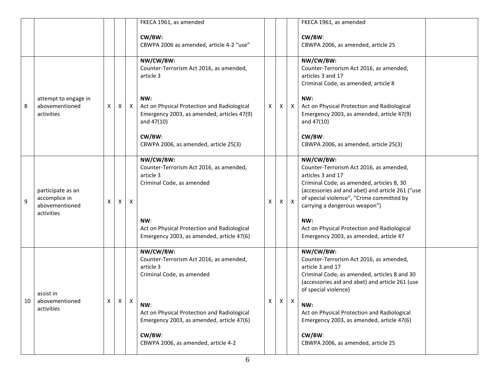|    |                                                                    |   |   |                  | FKECA 1961, as amended                                                                                                                               |   |    |                           | FKECA 1961, as amended                                                                                                                                                                                                                                                                                         |  |
|----|--------------------------------------------------------------------|---|---|------------------|------------------------------------------------------------------------------------------------------------------------------------------------------|---|----|---------------------------|----------------------------------------------------------------------------------------------------------------------------------------------------------------------------------------------------------------------------------------------------------------------------------------------------------------|--|
|    |                                                                    |   |   |                  | CW/BW:<br>CBWPA 2006 as amended, article 4-2 "use"                                                                                                   |   |    |                           | CW/BW:<br>CBWPA 2006, as amended, article 25                                                                                                                                                                                                                                                                   |  |
|    |                                                                    |   |   |                  | NW/CW/BW:<br>Counter-Terrorism Act 2016, as amended,<br>article 3                                                                                    |   |    |                           | NW/CW/BW:<br>Counter-Terrorism Act 2016, as amended,<br>articles 3 and 17<br>Criminal Code, as amended, article 8                                                                                                                                                                                              |  |
| 8  | attempt to engage in<br>abovementioned<br>activities               | Х | X | $\mathsf{X}$     | NW:<br>Act on Physical Protection and Radiological<br>Emergency 2003, as amended, articles 47(9)<br>and $47(10)$                                     | X | X  | $\mathsf{X}$              | NW:<br>Act on Physical Protection and Radiological<br>Emergency 2003, as amended, article 47(9)<br>and 47(10)                                                                                                                                                                                                  |  |
|    |                                                                    |   |   |                  | CW/BW:<br>CBWPA 2006, as amended, article 25(3)                                                                                                      |   |    |                           | CW/BW:<br>CBWPA 2006, as amended, article 25(3)                                                                                                                                                                                                                                                                |  |
| 9  | participate as an<br>accomplice in<br>abovementioned<br>activities | х | Χ | Χ                | NW/CW/BW:<br>Counter-Terrorism Act 2016, as amended,<br>article 3<br>Criminal Code, as amended<br>NW:<br>Act on Physical Protection and Radiological | X | X. | $\boldsymbol{\mathsf{X}}$ | NW/CW/BW:<br>Counter-Terrorism Act 2016, as amended,<br>articles 3 and 17<br>Criminal Code, as amended, articles 8, 30<br>(accessories aid and abet) and article 261 ("use<br>of special violence", "Crime committed by<br>carrying a dangerous weapon")<br>NW:<br>Act on Physical Protection and Radiological |  |
|    |                                                                    |   |   |                  | Emergency 2003, as amended, article 47(6)                                                                                                            |   |    |                           | Emergency 2003, as amended, article 47                                                                                                                                                                                                                                                                         |  |
|    | assist in                                                          |   |   |                  | NW/CW/BW:<br>Counter-Terrorism Act 2016, as amended,<br>article 3<br>Criminal Code, as amended                                                       |   |    |                           | NW/CW/BW:<br>Counter-Terrorism Act 2016, as amended,<br>article 3 and 17<br>Criminal Code, as amended, articles 8 and 30<br>(accessories aid and abet) and article 261 (use<br>of special violence)                                                                                                            |  |
| 10 | abovementioned<br>activities                                       | X | Χ | $\boldsymbol{X}$ | NW:<br>Act on Physical Protection and Radiological<br>Emergency 2003, as amended, article 47(6)                                                      | X | X  | $\boldsymbol{\mathsf{X}}$ | NW:<br>Act on Physical Protection and Radiological<br>Emergency 2003, as amended, article 47(6)                                                                                                                                                                                                                |  |
|    |                                                                    |   |   |                  | CW/BW:<br>CBWPA 2006, as amended, article 4-2                                                                                                        |   |    |                           | CW/BW:<br>CBWPA 2006, as amended, article 25                                                                                                                                                                                                                                                                   |  |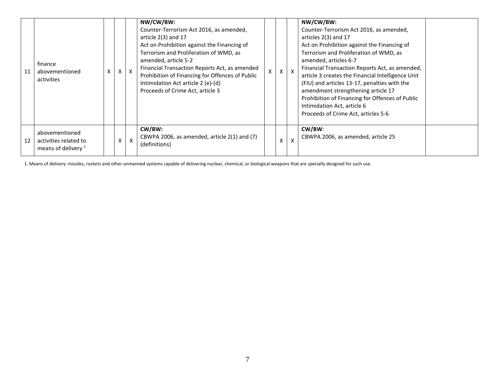| 11 | finance<br>abovementioned<br>activities                          | x | $\times$ | NW/CW/BW:<br>Counter-Terrorism Act 2016, as amended,<br>article $2(3)$ and 17<br>Act on Prohibition against the Financing of<br>Terrorism and Proliferation of WMD, as<br>amended, article 5-2<br>Financial Transaction Reports Act, as amended<br>Prohibition of Financing for Offences of Public<br>Intimidation Act article 2 (e)-(d)<br>Proceeds of Crime Act, article 3 | $\mathsf{X}$ | $\mathsf{X}$              | NW/CW/BW:<br>Counter-Terrorism Act 2016, as amended,<br>articles 2(3) and 17<br>Act on Prohibition against the Financing of<br>Terrorism and Proliferation of WMD, as<br>amended, articles 6-7<br>Financial Transaction Reports Act, as amended,<br>article 3 creates the Financial Intelligence Unit<br>(FIU) and articles 13-17, penalties with the<br>amendment strengthening article 17<br>Prohibition of Financing for Offences of Public<br>Intimidation Act, article 6<br>Proceeds of Crime Act, articles 5-6 |  |
|----|------------------------------------------------------------------|---|----------|------------------------------------------------------------------------------------------------------------------------------------------------------------------------------------------------------------------------------------------------------------------------------------------------------------------------------------------------------------------------------|--------------|---------------------------|----------------------------------------------------------------------------------------------------------------------------------------------------------------------------------------------------------------------------------------------------------------------------------------------------------------------------------------------------------------------------------------------------------------------------------------------------------------------------------------------------------------------|--|
| 12 | abovementioned<br>activities related to<br>means of delivery $1$ |   | X        | CW/BW:<br>CBWPA 2006, as amended, article 2(1) and (7)<br>(definitions)                                                                                                                                                                                                                                                                                                      | X            | $\boldsymbol{\mathsf{x}}$ | $CW/BW$ :<br>CBWPA 2006, as amended, article 25                                                                                                                                                                                                                                                                                                                                                                                                                                                                      |  |

1. Means of delivery: missiles, rockets and other unmanned systems capable of delivering nuclear, chemical, or biological weapons that are specially designed for such use.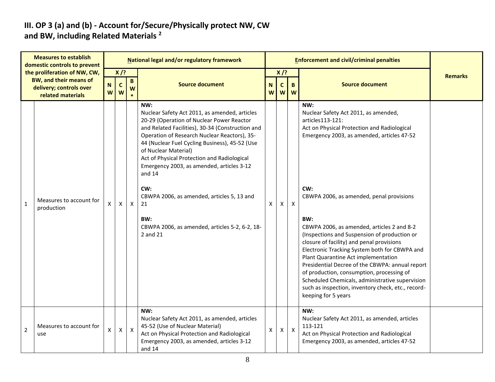#### **III. OP 3 (a) and (b) - Account for/Secure/Physically protect NW, CW and BW, including Related Materials <sup>2</sup>**

| <b>Measures to establish</b><br>domestic controls to prevent |                                                                                                               |                    |                            |                   | National legal and/or regulatory framework                                                                                                                                                                                                                                                                                                                                                                                                                                                                            |        |                            |              |                                                                                                                                                                                                                                                                                                                                                                                                                                                                                                                                                                                                                                                                                           |                |
|--------------------------------------------------------------|---------------------------------------------------------------------------------------------------------------|--------------------|----------------------------|-------------------|-----------------------------------------------------------------------------------------------------------------------------------------------------------------------------------------------------------------------------------------------------------------------------------------------------------------------------------------------------------------------------------------------------------------------------------------------------------------------------------------------------------------------|--------|----------------------------|--------------|-------------------------------------------------------------------------------------------------------------------------------------------------------------------------------------------------------------------------------------------------------------------------------------------------------------------------------------------------------------------------------------------------------------------------------------------------------------------------------------------------------------------------------------------------------------------------------------------------------------------------------------------------------------------------------------------|----------------|
|                                                              | the proliferation of NW, CW,<br><b>BW, and their means of</b><br>delivery; controls over<br>related materials | ${\sf N}$<br>W     | $X$ /?<br>$\mathbf c$<br>W | $\mathbf{B}$<br>W | <b>Source document</b>                                                                                                                                                                                                                                                                                                                                                                                                                                                                                                | N<br>W | $X$ /?<br>$\mathbf c$<br>W | B<br>W       | <b>Source document</b>                                                                                                                                                                                                                                                                                                                                                                                                                                                                                                                                                                                                                                                                    | <b>Remarks</b> |
| $\mathbf{1}$                                                 | Measures to account for<br>production                                                                         | X                  | $\mathsf{X}$               | $\mathsf{X}$      | NW:<br>Nuclear Safety Act 2011, as amended, articles<br>20-29 (Operation of Nuclear Power Reactor<br>and Related Facilities), 30-34 (Construction and<br>Operation of Research Nuclear Reactors), 35-<br>44 (Nuclear Fuel Cycling Business), 45-52 (Use<br>of Nuclear Material)<br>Act of Physical Protection and Radiological<br>Emergency 2003, as amended, articles 3-12<br>and 14<br>CW:<br>CBWPA 2006, as amended, articles 5, 13 and<br>21<br>BW:<br>CBWPA 2006, as amended, articles 5-2, 6-2, 18-<br>2 and 21 | X      | $\mathsf{X}$               | $\mathsf{X}$ | NW:<br>Nuclear Safety Act 2011, as amended,<br>articles113-121:<br>Act on Physical Protection and Radiological<br>Emergency 2003, as amended, articles 47-52<br>CW:<br>CBWPA 2006, as amended, penal provisions<br>BW:<br>CBWPA 2006, as amended, articles 2 and 8-2<br>(Inspections and Suspension of production or<br>closure of facility) and penal provisions<br>Electronic Tracking System both for CBWPA and<br>Plant Quarantine Act implementation<br>Presidential Decree of the CBWPA: annual report<br>of production, consumption, processing of<br>Scheduled Chemicals, administrative supervision<br>such as inspection, inventory check, etc., record-<br>keeping for 5 years |                |
| $\overline{2}$                                               | Measures to account for<br>use                                                                                | $\pmb{\mathsf{X}}$ | $\mathsf{X}$               | $\mathsf{X}$      | NW:<br>Nuclear Safety Act 2011, as amended, articles<br>45-52 (Use of Nuclear Material)<br>Act on Physical Protection and Radiological<br>Emergency 2003, as amended, articles 3-12<br>and 14                                                                                                                                                                                                                                                                                                                         | X      | $\mathsf{X}$               | $\mathsf{X}$ | NW:<br>Nuclear Safety Act 2011, as amended, articles<br>113-121<br>Act on Physical Protection and Radiological<br>Emergency 2003, as amended, articles 47-52                                                                                                                                                                                                                                                                                                                                                                                                                                                                                                                              |                |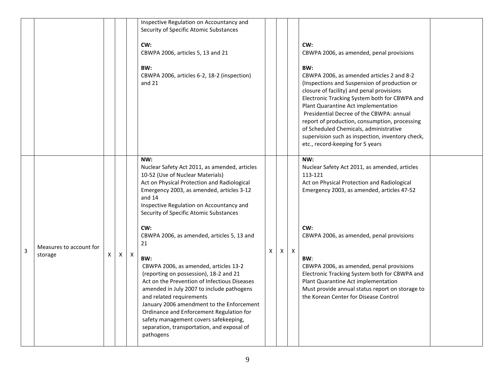|   |                                    |    |   |   | Inspective Regulation on Accountancy and<br>Security of Specific Atomic Substances<br>CW:<br>CBWPA 2006, articles 5, 13 and 21<br>BW:<br>CBWPA 2006, articles 6-2, 18-2 (inspection)<br>and 21                                                                                                                                                                                                                                                                                                                                                                                                                                                                                                                                                                  |   |   |              | CW:<br>CBWPA 2006, as amended, penal provisions<br>BW:<br>CBWPA 2006, as amended articles 2 and 8-2<br>(Inspections and Suspension of production or<br>closure of facility) and penal provisions<br>Electronic Tracking System both for CBWPA and<br>Plant Quarantine Act implementation<br>Presidential Decree of the CBWPA: annual<br>report of production, consumption, processing<br>of Scheduled Chemicals, administrative<br>supervision such as inspection, inventory check,<br>etc., record-keeping for 5 years |  |
|---|------------------------------------|----|---|---|-----------------------------------------------------------------------------------------------------------------------------------------------------------------------------------------------------------------------------------------------------------------------------------------------------------------------------------------------------------------------------------------------------------------------------------------------------------------------------------------------------------------------------------------------------------------------------------------------------------------------------------------------------------------------------------------------------------------------------------------------------------------|---|---|--------------|-------------------------------------------------------------------------------------------------------------------------------------------------------------------------------------------------------------------------------------------------------------------------------------------------------------------------------------------------------------------------------------------------------------------------------------------------------------------------------------------------------------------------|--|
| 3 | Measures to account for<br>storage | X. | X | X | NW:<br>Nuclear Safety Act 2011, as amended, articles<br>10-52 (Use of Nuclear Materials)<br>Act on Physical Protection and Radiological<br>Emergency 2003, as amended, articles 3-12<br>and 14<br>Inspective Regulation on Accountancy and<br>Security of Specific Atomic Substances<br>CW:<br>CBWPA 2006, as amended, articles 5, 13 and<br>21<br>BW:<br>CBWPA 2006, as amended, articles 13-2<br>(reporting on possession), 18-2 and 21<br>Act on the Prevention of Infectious Diseases<br>amended in July 2007 to include pathogens<br>and related requirements<br>January 2006 amendment to the Enforcement<br>Ordinance and Enforcement Regulation for<br>safety management covers safekeeping,<br>separation, transportation, and exposal of<br>pathogens | Χ | X | $\mathsf{X}$ | NW:<br>Nuclear Safety Act 2011, as amended, articles<br>113-121<br>Act on Physical Protection and Radiological<br>Emergency 2003, as amended, articles 47-52<br>CW:<br>CBWPA 2006, as amended, penal provisions<br>BW:<br>CBWPA 2006, as amended, penal provisions<br>Electronic Tracking System both for CBWPA and<br>Plant Quarantine Act implementation<br>Must provide annual status report on storage to<br>the Korean Center for Disease Control                                                                  |  |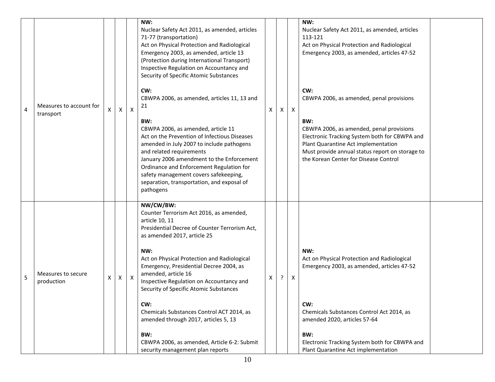| 4 | Measures to account for<br>transport | X | X | $\mathsf{X}$ | NW:<br>Nuclear Safety Act 2011, as amended, articles<br>71-77 (transportation)<br>Act on Physical Protection and Radiological<br>Emergency 2003, as amended, article 13<br>(Protection during International Transport)<br>Inspective Regulation on Accountancy and<br>Security of Specific Atomic Substances<br>CW:<br>CBWPA 2006, as amended, articles 11, 13 and<br>21<br>BW:<br>CBWPA 2006, as amended, article 11<br>Act on the Prevention of Infectious Diseases<br>amended in July 2007 to include pathogens<br>and related requirements<br>January 2006 amendment to the Enforcement<br>Ordinance and Enforcement Regulation for<br>safety management covers safekeeping,<br>separation, transportation, and exposal of<br>pathogens | X | $\mathsf{X}$ | $\mathsf{X}$ | NW:<br>Nuclear Safety Act 2011, as amended, articles<br>113-121<br>Act on Physical Protection and Radiological<br>Emergency 2003, as amended, articles 47-52<br>CW:<br>CBWPA 2006, as amended, penal provisions<br>BW:<br>CBWPA 2006, as amended, penal provisions<br>Electronic Tracking System both for CBWPA and<br>Plant Quarantine Act implementation<br>Must provide annual status report on storage to<br>the Korean Center for Disease Control |  |
|---|--------------------------------------|---|---|--------------|---------------------------------------------------------------------------------------------------------------------------------------------------------------------------------------------------------------------------------------------------------------------------------------------------------------------------------------------------------------------------------------------------------------------------------------------------------------------------------------------------------------------------------------------------------------------------------------------------------------------------------------------------------------------------------------------------------------------------------------------|---|--------------|--------------|--------------------------------------------------------------------------------------------------------------------------------------------------------------------------------------------------------------------------------------------------------------------------------------------------------------------------------------------------------------------------------------------------------------------------------------------------------|--|
| 5 | Measures to secure<br>production     | Χ | Χ | $\mathsf{X}$ | NW/CW/BW:<br>Counter Terrorism Act 2016, as amended,<br>article 10, 11<br>Presidential Decree of Counter Terrorism Act,<br>as amended 2017, article 25<br>NW:<br>Act on Physical Protection and Radiological<br>Emergency, Presidential Decree 2004, as<br>amended, article 16<br>Inspective Regulation on Accountancy and<br>Security of Specific Atomic Substances<br>CW:<br>Chemicals Substances Control ACT 2014, as<br>amended through 2017, articles 5, 13<br>BW:<br>CBWPA 2006, as amended, Article 6-2: Submit<br>security management plan reports                                                                                                                                                                                  | Χ | ?            | Χ            | NW:<br>Act on Physical Protection and Radiological<br>Emergency 2003, as amended, articles 47-52<br>CW:<br>Chemicals Substances Control Act 2014, as<br>amended 2020, articles 57-64<br>BW:<br>Electronic Tracking System both for CBWPA and<br>Plant Quarantine Act implementation                                                                                                                                                                    |  |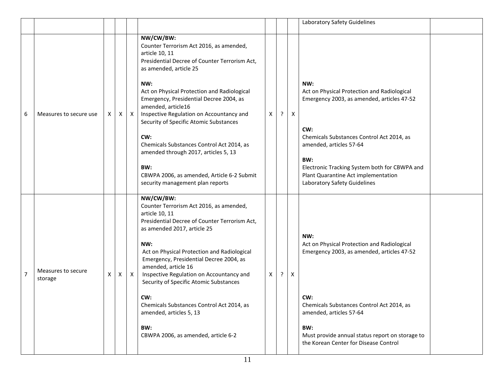|                |                               |    |   |              |                                                                                                                                                                                                                                                                                                                                                                                                                                                                                                                                                     |              |         |              | Laboratory Safety Guidelines                                                                                                                                                                                                                                                                                   |  |
|----------------|-------------------------------|----|---|--------------|-----------------------------------------------------------------------------------------------------------------------------------------------------------------------------------------------------------------------------------------------------------------------------------------------------------------------------------------------------------------------------------------------------------------------------------------------------------------------------------------------------------------------------------------------------|--------------|---------|--------------|----------------------------------------------------------------------------------------------------------------------------------------------------------------------------------------------------------------------------------------------------------------------------------------------------------------|--|
| 6              | Measures to secure use        | X. | X | $\mathsf{X}$ | NW/CW/BW:<br>Counter Terrorism Act 2016, as amended,<br>article 10, 11<br>Presidential Decree of Counter Terrorism Act,<br>as amended, article 25<br>NW:<br>Act on Physical Protection and Radiological<br>Emergency, Presidential Decree 2004, as<br>amended, article16<br>Inspective Regulation on Accountancy and<br>Security of Specific Atomic Substances<br>CW:<br>Chemicals Substances Control Act 2014, as<br>amended through 2017, articles 5, 13<br>BW:<br>CBWPA 2006, as amended, Article 6-2 Submit<br>security management plan reports | Χ            | $\cdot$ | $\mathsf{X}$ | NW:<br>Act on Physical Protection and Radiological<br>Emergency 2003, as amended, articles 47-52<br>CW:<br>Chemicals Substances Control Act 2014, as<br>amended, articles 57-64<br>BW:<br>Electronic Tracking System both for CBWPA and<br>Plant Quarantine Act implementation<br>Laboratory Safety Guidelines |  |
| $\overline{7}$ | Measures to secure<br>storage | X  | Χ | $\mathsf{X}$ | NW/CW/BW:<br>Counter Terrorism Act 2016, as amended,<br>article 10, 11<br>Presidential Decree of Counter Terrorism Act,<br>as amended 2017, article 25<br>NW:<br>Act on Physical Protection and Radiological<br>Emergency, Presidential Decree 2004, as<br>amended, article 16<br>Inspective Regulation on Accountancy and<br>Security of Specific Atomic Substances<br>CW:<br>Chemicals Substances Control Act 2014, as<br>amended, articles 5, 13<br>BW:<br>CBWPA 2006, as amended, article 6-2                                                   | $\mathsf{X}$ | $\cdot$ | X            | NW:<br>Act on Physical Protection and Radiological<br>Emergency 2003, as amended, articles 47-52<br>CW:<br>Chemicals Substances Control Act 2014, as<br>amended, articles 57-64<br>BW:<br>Must provide annual status report on storage to<br>the Korean Center for Disease Control                             |  |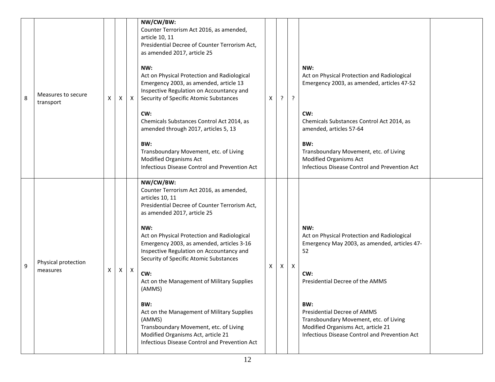| 8 | Measures to secure<br>transport | X | Χ | X            | NW/CW/BW:<br>Counter Terrorism Act 2016, as amended,<br>article 10, 11<br>Presidential Decree of Counter Terrorism Act,<br>as amended 2017, article 25<br>NW:<br>Act on Physical Protection and Radiological<br>Emergency 2003, as amended, article 13<br>Inspective Regulation on Accountancy and<br>Security of Specific Atomic Substances<br>CW:<br>Chemicals Substances Control Act 2014, as<br>amended through 2017, articles 5, 13<br>BW:<br>Transboundary Movement, etc. of Living<br>Modified Organisms Act<br>Infectious Disease Control and Prevention Act                                            | X | $\cdot$ | $\cdot$      | NW:<br>Act on Physical Protection and Radiological<br>Emergency 2003, as amended, articles 47-52<br>CW:<br>Chemicals Substances Control Act 2014, as<br>amended, articles 57-64<br>BW:<br>Transboundary Movement, etc. of Living<br><b>Modified Organisms Act</b><br>Infectious Disease Control and Prevention Act        |  |
|---|---------------------------------|---|---|--------------|-----------------------------------------------------------------------------------------------------------------------------------------------------------------------------------------------------------------------------------------------------------------------------------------------------------------------------------------------------------------------------------------------------------------------------------------------------------------------------------------------------------------------------------------------------------------------------------------------------------------|---|---------|--------------|---------------------------------------------------------------------------------------------------------------------------------------------------------------------------------------------------------------------------------------------------------------------------------------------------------------------------|--|
| 9 | Physical protection<br>measures | X | X | $\mathsf{X}$ | NW/CW/BW:<br>Counter Terrorism Act 2016, as amended,<br>articles 10, 11<br>Presidential Decree of Counter Terrorism Act,<br>as amended 2017, article 25<br>NW:<br>Act on Physical Protection and Radiological<br>Emergency 2003, as amended, articles 3-16<br>Inspective Regulation on Accountancy and<br>Security of Specific Atomic Substances<br>CW:<br>Act on the Management of Military Supplies<br>(AMMS)<br>BW:<br>Act on the Management of Military Supplies<br>(AMMS)<br>Transboundary Movement, etc. of Living<br>Modified Organisms Act, article 21<br>Infectious Disease Control and Prevention Act | X | X       | $\mathsf{X}$ | NW:<br>Act on Physical Protection and Radiological<br>Emergency May 2003, as amended, articles 47-<br>52<br>CW:<br>Presidential Decree of the AMMS<br>BW:<br>Presidential Decree of AMMS<br>Transboundary Movement, etc. of Living<br>Modified Organisms Act, article 21<br>Infectious Disease Control and Prevention Act |  |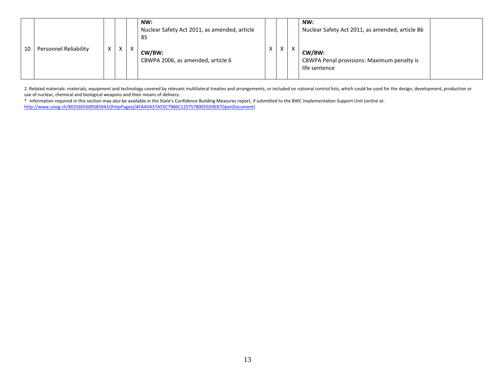|    |                              |   |   |    | NW:<br>Nuclear Safety Act 2011, as amended, article<br>-85 |            |   |   | NW:<br>Nuclear Safety Act 2011, as amended, article 86                |  |
|----|------------------------------|---|---|----|------------------------------------------------------------|------------|---|---|-----------------------------------------------------------------------|--|
| 10 | <b>Personnel Reliability</b> | X | X | Y. | CW/BW:<br>CBWPA 2006, as amended, article 6                | $\sqrt{ }$ | X | X | CW/BW:<br>CBWPA Penal provisions: Maximum penalty is<br>life sentence |  |

2. Related materials: materials, equipment and technology covered by relevant multilateral treaties and arrangements, or included on national control lists, which could be used for the design, development, production or use of nuclear, chemical and biological weapons and their means of delivery.

\* Information required in this section may also be available in the State's Confidence Building Measures report, if submitted to the BWC Implementation Support Unit (online at: [http://www.unog.ch/80256EE600585943/\(httpPages\)/4FA4DA37A55C7966C12575780055D9E8?OpenDocument\)](http://www.unog.ch/80256EE600585943/(httpPages)/4FA4DA37A55C7966C12575780055D9E8?OpenDocument)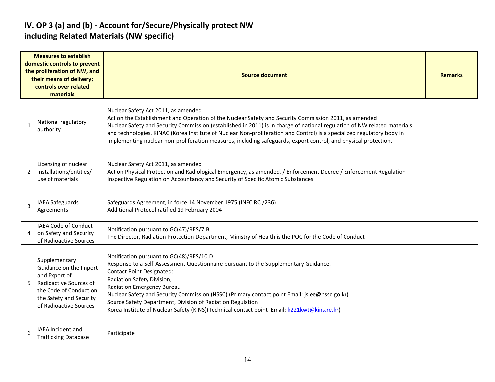#### **IV. OP 3 (a) and (b) - Account for/Secure/Physically protect NW including Related Materials (NW specific)**

| <b>Measures to establish</b><br>domestic controls to prevent<br>the proliferation of NW, and<br>their means of delivery;<br>controls over related<br>materials |                                                                                                                                                                   | <b>Source document</b>                                                                                                                                                                                                                                                                                                                                                                                                                                                                                                | <b>Remarks</b> |  |  |  |  |
|----------------------------------------------------------------------------------------------------------------------------------------------------------------|-------------------------------------------------------------------------------------------------------------------------------------------------------------------|-----------------------------------------------------------------------------------------------------------------------------------------------------------------------------------------------------------------------------------------------------------------------------------------------------------------------------------------------------------------------------------------------------------------------------------------------------------------------------------------------------------------------|----------------|--|--|--|--|
| $\mathbf{1}$                                                                                                                                                   | National regulatory<br>authority                                                                                                                                  | Nuclear Safety Act 2011, as amended<br>Act on the Establishment and Operation of the Nuclear Safety and Security Commission 2011, as amended<br>Nuclear Safety and Security Commission (established in 2011) is in charge of national regulation of NW related materials<br>and technologies. KINAC (Korea Institute of Nuclear Non-proliferation and Control) is a specialized regulatory body in<br>implementing nuclear non-proliferation measures, including safeguards, export control, and physical protection. |                |  |  |  |  |
| 2                                                                                                                                                              | Licensing of nuclear<br>installations/entities/<br>use of materials                                                                                               | Nuclear Safety Act 2011, as amended<br>Act on Physical Protection and Radiological Emergency, as amended, / Enforcement Decree / Enforcement Regulation<br>Inspective Regulation on Accountancy and Security of Specific Atomic Substances                                                                                                                                                                                                                                                                            |                |  |  |  |  |
| 3                                                                                                                                                              | <b>IAEA Safeguards</b><br>Agreements                                                                                                                              | Safeguards Agreement, in force 14 November 1975 (INFCIRC / 236)<br>Additional Protocol ratified 19 February 2004                                                                                                                                                                                                                                                                                                                                                                                                      |                |  |  |  |  |
| 4                                                                                                                                                              | <b>IAEA Code of Conduct</b><br>on Safety and Security<br>of Radioactive Sources                                                                                   | Notification pursuant to GC(47)/RES/7.B<br>The Director, Radiation Protection Department, Ministry of Health is the POC for the Code of Conduct                                                                                                                                                                                                                                                                                                                                                                       |                |  |  |  |  |
|                                                                                                                                                                | Supplementary<br>Guidance on the Import<br>and Export of<br>Radioactive Sources of<br>the Code of Conduct on<br>the Safety and Security<br>of Radioactive Sources | Notification pursuant to GC(48)/RES/10.D<br>Response to a Self-Assessment Questionnaire pursuant to the Supplementary Guidance.<br><b>Contact Point Designated:</b><br>Radiation Safety Division,<br><b>Radiation Emergency Bureau</b><br>Nuclear Safety and Security Commission (NSSC) (Primary contact point Email: jslee@nssc.go.kr)<br>Source Safety Department, Division of Radiation Regulation<br>Korea Institute of Nuclear Safety (KINS) (Technical contact point Email: k221kwt@kins.re.kr)                 |                |  |  |  |  |
|                                                                                                                                                                | IAEA Incident and<br><b>Trafficking Database</b>                                                                                                                  | Participate                                                                                                                                                                                                                                                                                                                                                                                                                                                                                                           |                |  |  |  |  |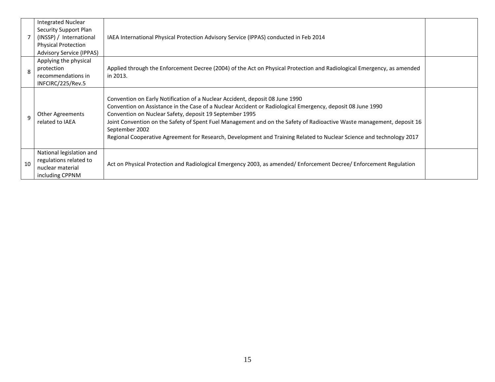|    | <b>Integrated Nuclear</b><br>Security Support Plan<br>(INSSP) / International<br><b>Physical Protection</b><br><b>Advisory Service (IPPAS)</b> | IAEA International Physical Protection Advisory Service (IPPAS) conducted in Feb 2014                                                                                                                                                                                                                                                                                                                                                                                                                                    |  |
|----|------------------------------------------------------------------------------------------------------------------------------------------------|--------------------------------------------------------------------------------------------------------------------------------------------------------------------------------------------------------------------------------------------------------------------------------------------------------------------------------------------------------------------------------------------------------------------------------------------------------------------------------------------------------------------------|--|
| 8  | Applying the physical<br>protection<br>recommendations in<br>INFCIRC/225/Rev.5                                                                 | Applied through the Enforcement Decree (2004) of the Act on Physical Protection and Radiological Emergency, as amended<br>in 2013.                                                                                                                                                                                                                                                                                                                                                                                       |  |
| q  | <b>Other Agreements</b><br>related to IAEA                                                                                                     | Convention on Early Notification of a Nuclear Accident, deposit 08 June 1990<br>Convention on Assistance in the Case of a Nuclear Accident or Radiological Emergency, deposit 08 June 1990<br>Convention on Nuclear Safety, deposit 19 September 1995<br>Joint Convention on the Safety of Spent Fuel Management and on the Safety of Radioactive Waste management, deposit 16<br>September 2002<br>Regional Cooperative Agreement for Research, Development and Training Related to Nuclear Science and technology 2017 |  |
| 10 | National legislation and<br>regulations related to<br>nuclear material<br>including CPPNM                                                      | Act on Physical Protection and Radiological Emergency 2003, as amended/Enforcement Decree/Enforcement Regulation                                                                                                                                                                                                                                                                                                                                                                                                         |  |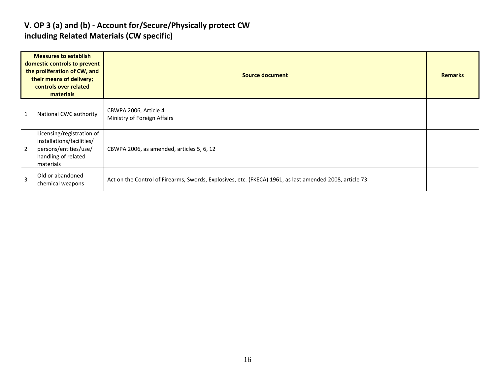#### **V. OP 3 (a) and (b) - Account for/Secure/Physically protect CW including Related Materials (CW specific)**

| <b>Measures to establish</b><br>domestic controls to prevent<br>the proliferation of CW, and<br>their means of delivery;<br>controls over related<br>materials |                                                                                                                     | <b>Source document</b>                                                                                  |  |  |  |  |  |  |
|----------------------------------------------------------------------------------------------------------------------------------------------------------------|---------------------------------------------------------------------------------------------------------------------|---------------------------------------------------------------------------------------------------------|--|--|--|--|--|--|
| $\mathbf{1}$                                                                                                                                                   | National CWC authority                                                                                              | CBWPA 2006, Article 4<br>Ministry of Foreign Affairs                                                    |  |  |  |  |  |  |
| $\overline{2}$                                                                                                                                                 | Licensing/registration of<br>installations/facilities/<br>persons/entities/use/<br>handling of related<br>materials | CBWPA 2006, as amended, articles 5, 6, 12                                                               |  |  |  |  |  |  |
| $\overline{3}$                                                                                                                                                 | Old or abandoned<br>chemical weapons                                                                                | Act on the Control of Firearms, Swords, Explosives, etc. (FKECA) 1961, as last amended 2008, article 73 |  |  |  |  |  |  |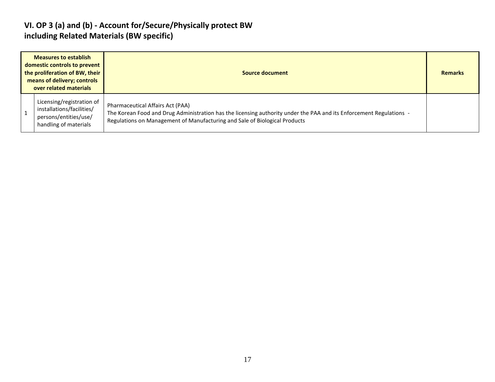#### **VI. OP 3 (a) and (b) - Account for/Secure/Physically protect BW including Related Materials (BW specific)**

| <b>Measures to establish</b><br>domestic controls to prevent<br>the proliferation of BW, their<br>means of delivery; controls<br>over related materials |                                                                                                          | Source document                                                                                                                                                                                                                       | <b>Remarks</b> |
|---------------------------------------------------------------------------------------------------------------------------------------------------------|----------------------------------------------------------------------------------------------------------|---------------------------------------------------------------------------------------------------------------------------------------------------------------------------------------------------------------------------------------|----------------|
|                                                                                                                                                         | Licensing/registration of<br>installations/facilities/<br>persons/entities/use/<br>handling of materials | Pharmaceutical Affairs Act (PAA)<br>The Korean Food and Drug Administration has the licensing authority under the PAA and its Enforcement Regulations -<br>Regulations on Management of Manufacturing and Sale of Biological Products |                |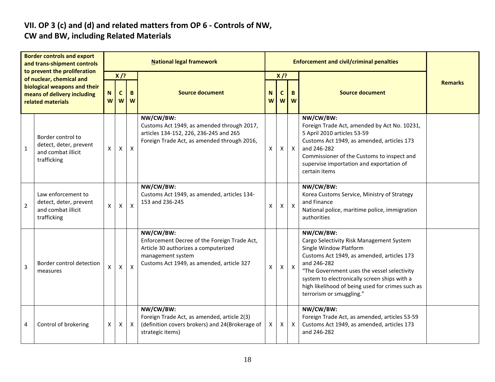# **VII. OP 3 (c) and (d) and related matters from OP 6 - Controls of NW,**

### **CW and BW, including Related Materials**

| <b>Border controls and export</b><br>and trans-shipment controls<br>to prevent the proliferation<br>of nuclear, chemical and<br>biological weapons and their<br>means of delivery including<br>related materials |                                                                                   | <b>National legal framework</b>                |              |              |                                                                                                                                                                     |        |                            | <b>Enforcement and civil/criminal penalties</b> |                                                                                                                                                                                                                                                                                                                             |                |  |
|------------------------------------------------------------------------------------------------------------------------------------------------------------------------------------------------------------------|-----------------------------------------------------------------------------------|------------------------------------------------|--------------|--------------|---------------------------------------------------------------------------------------------------------------------------------------------------------------------|--------|----------------------------|-------------------------------------------------|-----------------------------------------------------------------------------------------------------------------------------------------------------------------------------------------------------------------------------------------------------------------------------------------------------------------------------|----------------|--|
|                                                                                                                                                                                                                  |                                                                                   | $X$ /?<br>$\mathbf c$<br>N<br>B<br>W<br>W<br>W |              |              | <b>Source document</b>                                                                                                                                              | N<br>W | $X$ /?<br>B<br>C<br>W<br>W |                                                 | <b>Source document</b>                                                                                                                                                                                                                                                                                                      | <b>Remarks</b> |  |
| $\mathbf 1$                                                                                                                                                                                                      | Border control to<br>detect, deter, prevent<br>and combat illicit<br>trafficking  | X                                              | X            | $\mathsf{X}$ | NW/CW/BW:<br>Customs Act 1949, as amended through 2017,<br>articles 134-152, 226, 236-245 and 265<br>Foreign Trade Act, as amended through 2016,                    | X      | X                          | $\mathsf{X}$                                    | NW/CW/BW:<br>Foreign Trade Act, amended by Act No. 10231,<br>5 April 2010 articles 53-59<br>Customs Act 1949, as amended, articles 173<br>and 246-282<br>Commissioner of the Customs to inspect and<br>supervise importation and exportation of<br>certain items                                                            |                |  |
| $\overline{2}$                                                                                                                                                                                                   | Law enforcement to<br>detect, deter, prevent<br>and combat illicit<br>trafficking | X                                              | $\mathsf{X}$ | $\mathsf{x}$ | NW/CW/BW:<br>Customs Act 1949, as amended, articles 134-<br>153 and 236-245                                                                                         | X      | X                          | $\pmb{\times}$                                  | NW/CW/BW:<br>Korea Customs Service, Ministry of Strategy<br>and Finance<br>National police, maritime police, immigration<br>authorities                                                                                                                                                                                     |                |  |
| 3                                                                                                                                                                                                                | Border control detection<br>measures                                              | X                                              | $\mathsf{x}$ | X            | NW/CW/BW:<br>Enforcement Decree of the Foreign Trade Act,<br>Article 30 authorizes a computerized<br>management system<br>Customs Act 1949, as amended, article 327 | X      | X                          | $\mathsf{X}$                                    | NW/CW/BW:<br>Cargo Selectivity Risk Management System<br>Single Window Platform<br>Customs Act 1949, as amended, articles 173<br>and 246-282<br>"The Government uses the vessel selectivity<br>system to electronically screen ships with a<br>high likelihood of being used for crimes such as<br>terrorism or smuggling." |                |  |
| 4                                                                                                                                                                                                                | Control of brokering                                                              | X                                              | $\mathsf{X}$ | $\mathsf{X}$ | NW/CW/BW:<br>Foreign Trade Act, as amended, article 2(3)<br>(definition covers brokers) and 24(Brokerage of<br>strategic items)                                     | X      | $\mathsf{X}$               | $\mathsf{X}$                                    | NW/CW/BW:<br>Foreign Trade Act, as amended, articles 53-59<br>Customs Act 1949, as amended, articles 173<br>and 246-282                                                                                                                                                                                                     |                |  |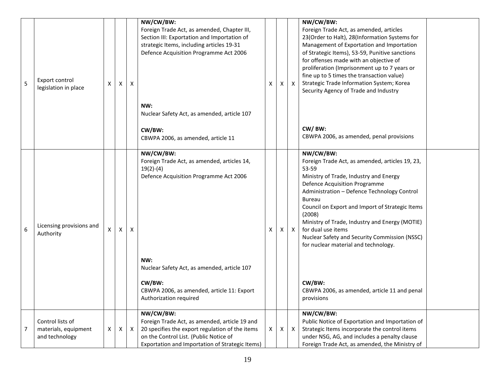| 5 | Export control<br>legislation in place                     | X | X | X            | NW/CW/BW:<br>Foreign Trade Act, as amended, Chapter III,<br>Section III: Exportation and Importation of<br>strategic Items, including articles 19-31<br>Defence Acquisition Programme Act 2006<br>NW:<br>Nuclear Safety Act, as amended, article 107<br>CW/BW:<br>CBWPA 2006, as amended, article 11 | X  | X | $\mathsf{X}$ | NW/CW/BW:<br>Foreign Trade Act, as amended, articles<br>23(Order to Halt), 28(Information Systems for<br>Management of Exportation and Importation<br>of Strategic Items), 53-59, Punitive sanctions<br>for offenses made with an objective of<br>proliferation (Imprisonment up to 7 years or<br>fine up to 5 times the transaction value)<br>Strategic Trade Information System; Korea<br>Security Agency of Trade and Industry<br>CW/BW:<br>CBWPA 2006, as amended, penal provisions                                |
|---|------------------------------------------------------------|---|---|--------------|------------------------------------------------------------------------------------------------------------------------------------------------------------------------------------------------------------------------------------------------------------------------------------------------------|----|---|--------------|------------------------------------------------------------------------------------------------------------------------------------------------------------------------------------------------------------------------------------------------------------------------------------------------------------------------------------------------------------------------------------------------------------------------------------------------------------------------------------------------------------------------|
| 6 | Licensing provisions and<br>Authority                      | X | X | Χ            | NW/CW/BW:<br>Foreign Trade Act, as amended, articles 14,<br>$19(2)-(4)$<br>Defence Acquisition Programme Act 2006<br>NW:<br>Nuclear Safety Act, as amended, article 107<br>CW/BW:<br>CBWPA 2006, as amended, article 11: Export<br>Authorization required                                            | X  | X | $\mathsf{X}$ | NW/CW/BW:<br>Foreign Trade Act, as amended, articles 19, 23,<br>53-59<br>Ministry of Trade, Industry and Energy<br>Defence Acquisition Programme<br>Administration - Defence Technology Control<br><b>Bureau</b><br>Council on Export and Import of Strategic Items<br>(2008)<br>Ministry of Trade, Industry and Energy (MOTIE)<br>for dual use items<br>Nuclear Safety and Security Commission (NSSC)<br>for nuclear material and technology.<br>CW/BW:<br>CBWPA 2006, as amended, article 11 and penal<br>provisions |
| 7 | Control lists of<br>materials, equipment<br>and technology | X | X | $\mathsf{X}$ | NW/CW/BW:<br>Foreign Trade Act, as amended, article 19 and<br>20 specifies the export regulation of the items<br>on the Control List. (Public Notice of<br>Exportation and Importation of Strategic Items)                                                                                           | X. | X | $\mathsf{X}$ | NW/CW/BW:<br>Public Notice of Exportation and Importation of<br>Strategic Items incorporate the control items<br>under NSG, AG, and includes a penalty clause<br>Foreign Trade Act, as amended, the Ministry of                                                                                                                                                                                                                                                                                                        |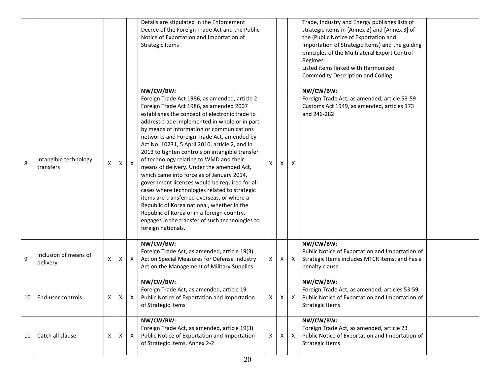|    |                                    |                |   |                 | Details are stipulated in the Enforcement<br>Decree of the Foreign Trade Act and the Public<br>Notice of Exportation and Importation of<br><b>Strategic Items</b>                                                                                                                                                                                                                                                                                                                                                                                                                                                                                                                                                                                                                                                                                                  |              |    |                           | Trade, Industry and Energy publishes lists of<br>strategic items in [Annex 2] and [Annex 3] of<br>the (Public Notice of Exportation and<br>Importation of Strategic Items) and the guiding<br>principles of the Multilateral Export Control<br>Regimes<br>Listed items linked with Harmonized<br><b>Commodity Description and Coding</b> |  |
|----|------------------------------------|----------------|---|-----------------|--------------------------------------------------------------------------------------------------------------------------------------------------------------------------------------------------------------------------------------------------------------------------------------------------------------------------------------------------------------------------------------------------------------------------------------------------------------------------------------------------------------------------------------------------------------------------------------------------------------------------------------------------------------------------------------------------------------------------------------------------------------------------------------------------------------------------------------------------------------------|--------------|----|---------------------------|------------------------------------------------------------------------------------------------------------------------------------------------------------------------------------------------------------------------------------------------------------------------------------------------------------------------------------------|--|
| 8  | Intangible technology<br>transfers | X              | X | $\vert x \vert$ | NW/CW/BW:<br>Foreign Trade Act 1986, as amended, article 2<br>Foreign Trade Act 1986, as amended 2007<br>establishes the concept of electronic trade to<br>address trade implemented in whole or in part<br>by means of information or communications<br>networks and Foreign Trade Act, amended by<br>Act No. 10231, 5 April 2010, article 2, and in<br>2013 to tighten controls on intangible transfer<br>of technology relating to WMD and their<br>means of delivery. Under the amended Act,<br>which came into force as of January 2014,<br>government licences would be required for all<br>cases where technologies related to strategic<br>items are transferred overseas, or where a<br>Republic of Korea national, whether in the<br>Republic of Korea or in a foreign country,<br>engages in the transfer of such technologies to<br>foreign nationals. | X            | X  | X                         | NW/CW/BW:<br>Foreign Trade Act, as amended, article 53-59<br>Customs Act 1949, as amended, articles 173<br>and 246-282                                                                                                                                                                                                                   |  |
| 9  | Inclusion of means of<br>delivery  | X              | X | $\mathsf{X}$    | NW/CW/BW:<br>Foreign Trade Act, as amended, article 19(3)<br>Act on Special Measures for Defense Industry<br>Act on the Management of Military Supplies                                                                                                                                                                                                                                                                                                                                                                                                                                                                                                                                                                                                                                                                                                            | X            | X. | $\mathsf{X}$              | NW/CW/BW:<br>Public Notice of Exportation and Importation of<br>Strategic Items includes MTCR items, and has a<br>penalty clause                                                                                                                                                                                                         |  |
|    | 10   End-user controls             | $\mathsf{X}^-$ |   | $X$ $X$         | NW/CW/BW:<br>Foreign Trade Act, as amended, article 19<br>Public Notice of Exportation and Importation<br>of Strategic Items                                                                                                                                                                                                                                                                                                                                                                                                                                                                                                                                                                                                                                                                                                                                       | $\mathsf{X}$ |    |                           | NW/CW/BW:<br>Foreign Trade Act, as amended, articles 53-59<br>$X \mid X$ Public Notice of Exportation and Importation of<br><b>Strategic Items</b>                                                                                                                                                                                       |  |
| 11 | Catch all clause                   | Χ              | X | $\mathsf{X}$    | NW/CW/BW:<br>Foreign Trade Act, as amended, article 19(3)<br>Public Notice of Exportation and Importation<br>of Strategic Items, Annex 2-2                                                                                                                                                                                                                                                                                                                                                                                                                                                                                                                                                                                                                                                                                                                         | X            | X  | $\boldsymbol{\mathsf{X}}$ | NW/CW/BW:<br>Foreign Trade Act, as amended, article 23<br>Public Notice of Exportation and Importation of<br><b>Strategic Items</b>                                                                                                                                                                                                      |  |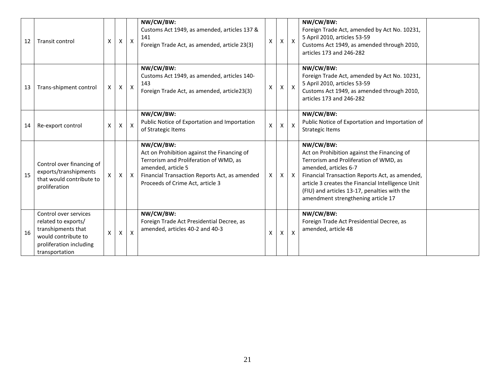| 12 | Transit control                                                                                                                        | X                  | X                  | $\mathsf{X}$ | NW/CW/BW:<br>Customs Act 1949, as amended, articles 137 &<br>141<br>Foreign Trade Act, as amended, article 23(3)                                                                                              | X            | X | $\mathsf{X}$              | NW/CW/BW:<br>Foreign Trade Act, amended by Act No. 10231,<br>5 April 2010, articles 53-59<br>Customs Act 1949, as amended through 2010,<br>articles 173 and 246-282                                                                                                                                                      |  |
|----|----------------------------------------------------------------------------------------------------------------------------------------|--------------------|--------------------|--------------|---------------------------------------------------------------------------------------------------------------------------------------------------------------------------------------------------------------|--------------|---|---------------------------|--------------------------------------------------------------------------------------------------------------------------------------------------------------------------------------------------------------------------------------------------------------------------------------------------------------------------|--|
| 13 | Trans-shipment control                                                                                                                 | X                  | $\pmb{\times}$     | $\mathsf{X}$ | NW/CW/BW:<br>Customs Act 1949, as amended, articles 140-<br>143<br>Foreign Trade Act, as amended, article23(3)                                                                                                | X            | X | $\mathsf{X}$              | NW/CW/BW:<br>Foreign Trade Act, amended by Act No. 10231,<br>5 April 2010, articles 53-59<br>Customs Act 1949, as amended through 2010,<br>articles 173 and 246-282                                                                                                                                                      |  |
| 14 | Re-export control                                                                                                                      | $\pmb{\mathsf{X}}$ | $\pmb{\mathsf{X}}$ | $\mathsf{X}$ | NW/CW/BW:<br>Public Notice of Exportation and Importation<br>of Strategic Items                                                                                                                               | $\mathsf{X}$ | X | $\mathsf{X}$              | NW/CW/BW:<br>Public Notice of Exportation and Importation of<br><b>Strategic Items</b>                                                                                                                                                                                                                                   |  |
| 15 | Control over financing of<br>exports/transhipments<br>that would contribute to<br>proliferation                                        |                    | Χ                  | $\mathsf{X}$ | NW/CW/BW:<br>Act on Prohibition against the Financing of<br>Terrorism and Proliferation of WMD, as<br>amended, article 5<br>Financial Transaction Reports Act, as amended<br>Proceeds of Crime Act, article 3 | X            | X | $\mathsf{X}$              | NW/CW/BW:<br>Act on Prohibition against the Financing of<br>Terrorism and Proliferation of WMD, as<br>amended, articles 6-7<br>Financial Transaction Reports Act, as amended,<br>article 3 creates the Financial Intelligence Unit<br>(FIU) and articles 13-17, penalties with the<br>amendment strengthening article 17 |  |
| 16 | Control over services<br>related to exports/<br>transhipments that<br>would contribute to<br>proliferation including<br>transportation | X                  | Х                  | $\mathsf{X}$ | NW/CW/BW:<br>Foreign Trade Act Presidential Decree, as<br>amended, articles 40-2 and 40-3                                                                                                                     | X            | X | $\boldsymbol{\mathsf{X}}$ | NW/CW/BW:<br>Foreign Trade Act Presidential Decree, as<br>amended, article 48                                                                                                                                                                                                                                            |  |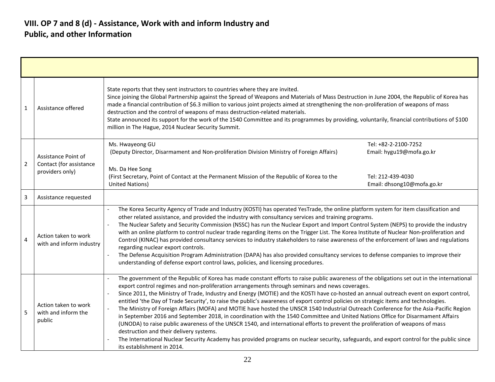| $\mathbf{1}$   | Assistance offered                                                | State reports that they sent instructors to countries where they are invited.<br>Since joining the Global Partnership against the Spread of Weapons and Materials of Mass Destruction in June 2004, the Republic of Korea has<br>made a financial contribution of \$6.3 million to various joint projects aimed at strengthening the non-proliferation of weapons of mass<br>destruction and the control of weapons of mass destruction-related materials.<br>State announced its support for the work of the 1540 Committee and its programmes by providing, voluntarily, financial contributions of \$100<br>million in The Hague, 2014 Nuclear Security Summit.                                                                                                                                                                                                                                                                                                                                                                                                                                                                                                     |
|----------------|-------------------------------------------------------------------|------------------------------------------------------------------------------------------------------------------------------------------------------------------------------------------------------------------------------------------------------------------------------------------------------------------------------------------------------------------------------------------------------------------------------------------------------------------------------------------------------------------------------------------------------------------------------------------------------------------------------------------------------------------------------------------------------------------------------------------------------------------------------------------------------------------------------------------------------------------------------------------------------------------------------------------------------------------------------------------------------------------------------------------------------------------------------------------------------------------------------------------------------------------------|
| $\overline{2}$ | Assistance Point of<br>Contact (for assistance<br>providers only) | Ms. Hwayeong GU<br>Tel: +82-2-2100-7252<br>Email: hygu19@mofa.go.kr<br>(Deputy Director, Disarmament and Non-proliferation Division Ministry of Foreign Affairs)<br>Ms. Da Hee Song<br>(First Secretary, Point of Contact at the Permanent Mission of the Republic of Korea to the<br>Tel: 212-439-4030<br><b>United Nations)</b><br>Email: dhsong10@mofa.go.kr                                                                                                                                                                                                                                                                                                                                                                                                                                                                                                                                                                                                                                                                                                                                                                                                        |
| $\overline{3}$ | Assistance requested                                              |                                                                                                                                                                                                                                                                                                                                                                                                                                                                                                                                                                                                                                                                                                                                                                                                                                                                                                                                                                                                                                                                                                                                                                        |
| $\overline{4}$ | Action taken to work<br>with and inform industry                  | The Korea Security Agency of Trade and Industry (KOSTI) has operated YesTrade, the online platform system for item classification and<br>other related assistance, and provided the industry with consultancy services and training programs.<br>The Nuclear Safety and Security Commission (NSSC) has run the Nuclear Export and Import Control System (NEPS) to provide the industry<br>with an online platform to control nuclear trade regarding items on the Trigger List. The Korea Institute of Nuclear Non-proliferation and<br>Control (KINAC) has provided consultancy services to industry stakeholders to raise awareness of the enforcement of laws and regulations<br>regarding nuclear export controls.<br>The Defense Acquisition Program Administration (DAPA) has also provided consultancy services to defense companies to improve their<br>$\blacksquare$<br>understanding of defense export control laws, policies, and licensing procedures.                                                                                                                                                                                                    |
| -5             | Action taken to work<br>with and inform the<br>public             | The government of the Republic of Korea has made constant efforts to raise public awareness of the obligations set out in the international<br>export control regimes and non-proliferation arrangements through seminars and news coverages.<br>Since 2011, the Ministry of Trade, Industry and Energy (MOTIE) and the KOSTI have co-hosted an annual outreach event on export control,<br>entitled 'the Day of Trade Security', to raise the public's awareness of export control policies on strategic items and technologies.<br>The Ministry of Foreign Affairs (MOFA) and MOTIE have hosted the UNSCR 1540 Industrial Outreach Conference for the Asia-Pacific Region<br>in September 2016 and September 2018, in coordination with the 1540 Committee and United Nations Office for Disarmament Affairs<br>(UNODA) to raise public awareness of the UNSCR 1540, and international efforts to prevent the proliferation of weapons of mass<br>destruction and their delivery systems.<br>The International Nuclear Security Academy has provided programs on nuclear security, safeguards, and export control for the public since<br>its establishment in 2014. |